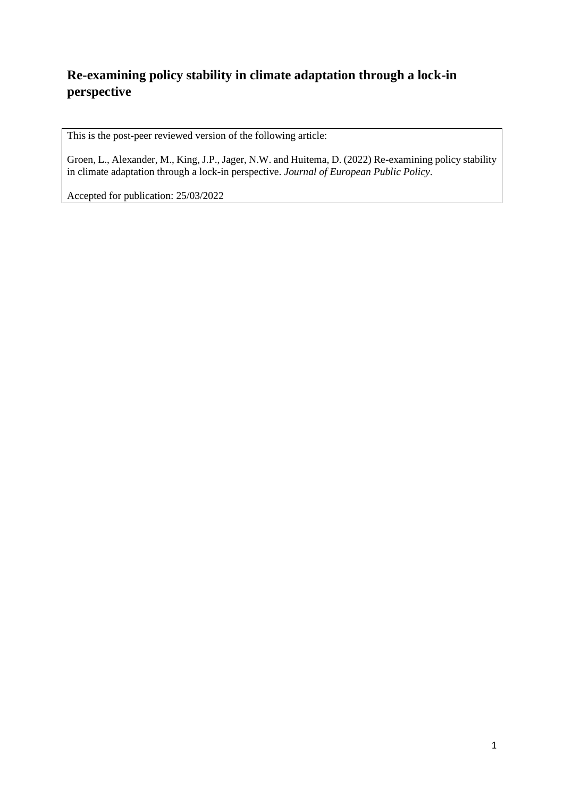# **Re-examining policy stability in climate adaptation through a lock-in perspective**

This is the post-peer reviewed version of the following article:

Groen, L., Alexander, M., King, J.P., Jager, N.W. and Huitema, D. (2022) Re-examining policy stability in climate adaptation through a lock-in perspective. *Journal of European Public Policy*.

Accepted for publication: 25/03/2022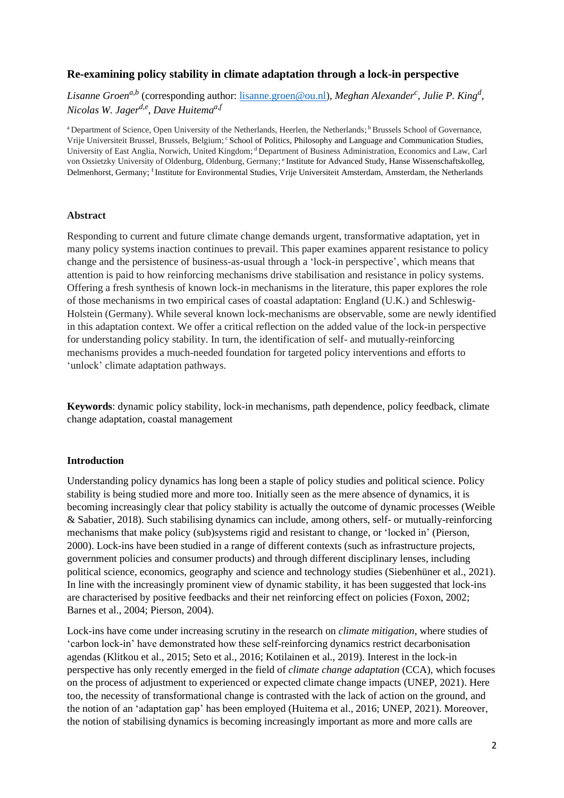# **Re-examining policy stability in climate adaptation through a lock-in perspective**

*Lisanne Groen<sup>a,b</sup>* (corresponding author: <u>lisanne.groen@ou.nl</u>), Meghan Alexander<sup>c</sup>, Julie P. King<sup>d</sup>, *Nicolas W. Jagerd,e, Dave Huitemaa,f*

<sup>a</sup> Department of Science, Open University of the Netherlands, Heerlen, the Netherlands;<sup>b</sup> Brussels School of Governance, Vrije Universiteit Brussel, Brussels, Belgium; <sup>c</sup> School of Politics, Philosophy and Language and Communication Studies, University of East Anglia, Norwich, United Kingdom; <sup>d</sup> Department of Business Administration, Economics and Law, Carl von Ossietzky University of Oldenburg, Oldenburg, Germany; <sup>e</sup> Institute for Advanced Study, Hanse Wissenschaftskolleg, Delmenhorst, Germany; <sup>f</sup>Institute for Environmental Studies, Vrije Universiteit Amsterdam, Amsterdam, the Netherlands

#### **Abstract**

Responding to current and future climate change demands urgent, transformative adaptation, yet in many policy systems inaction continues to prevail. This paper examines apparent resistance to policy change and the persistence of business-as-usual through a 'lock-in perspective', which means that attention is paid to how reinforcing mechanisms drive stabilisation and resistance in policy systems. Offering a fresh synthesis of known lock-in mechanisms in the literature, this paper explores the role of those mechanisms in two empirical cases of coastal adaptation: England (U.K.) and Schleswig-Holstein (Germany). While several known lock-mechanisms are observable, some are newly identified in this adaptation context. We offer a critical reflection on the added value of the lock-in perspective for understanding policy stability. In turn, the identification of self- and mutually-reinforcing mechanisms provides a much-needed foundation for targeted policy interventions and efforts to 'unlock' climate adaptation pathways.

**Keywords**: dynamic policy stability, lock-in mechanisms, path dependence, policy feedback, climate change adaptation, coastal management

#### **Introduction**

Understanding policy dynamics has long been a staple of policy studies and political science. Policy stability is being studied more and more too. Initially seen as the mere absence of dynamics, it is becoming increasingly clear that policy stability is actually the outcome of dynamic processes (Weible & Sabatier, 2018). Such stabilising dynamics can include, among others, self- or mutually-reinforcing mechanisms that make policy (sub)systems rigid and resistant to change, or 'locked in' (Pierson, 2000). Lock-ins have been studied in a range of different contexts (such as infrastructure projects, government policies and consumer products) and through different disciplinary lenses, including political science, economics, geography and science and technology studies (Siebenhüner et al., 2021). In line with the increasingly prominent view of dynamic stability, it has been suggested that lock-ins are characterised by positive feedbacks and their net reinforcing effect on policies (Foxon, 2002; Barnes et al., 2004; Pierson, 2004).

Lock-ins have come under increasing scrutiny in the research on *climate mitigation*, where studies of 'carbon lock-in' have demonstrated how these self-reinforcing dynamics restrict decarbonisation agendas (Klitkou et al., 2015; Seto et al., 2016; Kotilainen et al., 2019). Interest in the lock-in perspective has only recently emerged in the field of *climate change adaptation* (CCA), which focuses on the process of adjustment to experienced or expected climate change impacts (UNEP, 2021). Here too, the necessity of transformational change is contrasted with the lack of action on the ground, and the notion of an 'adaptation gap' has been employed (Huitema et al., 2016; UNEP, 2021). Moreover, the notion of stabilising dynamics is becoming increasingly important as more and more calls are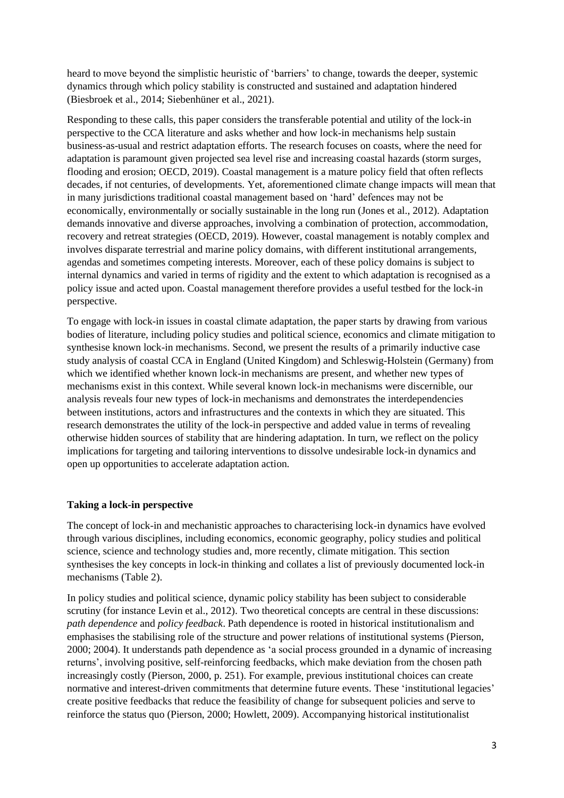heard to move beyond the simplistic heuristic of 'barriers' to change, towards the deeper, systemic dynamics through which policy stability is constructed and sustained and adaptation hindered (Biesbroek et al., 2014; Siebenhüner et al., 2021).

Responding to these calls, this paper considers the transferable potential and utility of the lock-in perspective to the CCA literature and asks whether and how lock-in mechanisms help sustain business-as-usual and restrict adaptation efforts. The research focuses on coasts, where the need for adaptation is paramount given projected sea level rise and increasing coastal hazards (storm surges, flooding and erosion; OECD, 2019). Coastal management is a mature policy field that often reflects decades, if not centuries, of developments. Yet, aforementioned climate change impacts will mean that in many jurisdictions traditional coastal management based on 'hard' defences may not be economically, environmentally or socially sustainable in the long run (Jones et al., 2012). Adaptation demands innovative and diverse approaches, involving a combination of protection, accommodation, recovery and retreat strategies (OECD, 2019). However, coastal management is notably complex and involves disparate terrestrial and marine policy domains, with different institutional arrangements, agendas and sometimes competing interests. Moreover, each of these policy domains is subject to internal dynamics and varied in terms of rigidity and the extent to which adaptation is recognised as a policy issue and acted upon. Coastal management therefore provides a useful testbed for the lock-in perspective.

To engage with lock-in issues in coastal climate adaptation, the paper starts by drawing from various bodies of literature, including policy studies and political science, economics and climate mitigation to synthesise known lock-in mechanisms. Second, we present the results of a primarily inductive case study analysis of coastal CCA in England (United Kingdom) and Schleswig-Holstein (Germany) from which we identified whether known lock-in mechanisms are present, and whether new types of mechanisms exist in this context. While several known lock-in mechanisms were discernible, our analysis reveals four new types of lock-in mechanisms and demonstrates the interdependencies between institutions, actors and infrastructures and the contexts in which they are situated. This research demonstrates the utility of the lock-in perspective and added value in terms of revealing otherwise hidden sources of stability that are hindering adaptation. In turn, we reflect on the policy implications for targeting and tailoring interventions to dissolve undesirable lock-in dynamics and open up opportunities to accelerate adaptation action.

# **Taking a lock-in perspective**

The concept of lock-in and mechanistic approaches to characterising lock-in dynamics have evolved through various disciplines, including economics, economic geography, policy studies and political science, science and technology studies and, more recently, climate mitigation. This section synthesises the key concepts in lock-in thinking and collates a list of previously documented lock-in mechanisms (Table 2).

In policy studies and political science, dynamic policy stability has been subject to considerable scrutiny (for instance Levin et al., 2012). Two theoretical concepts are central in these discussions: *path dependence* and *policy feedback*. Path dependence is rooted in historical institutionalism and emphasises the stabilising role of the structure and power relations of institutional systems (Pierson, 2000; 2004). It understands path dependence as 'a social process grounded in a dynamic of increasing returns', involving positive, self-reinforcing feedbacks, which make deviation from the chosen path increasingly costly (Pierson, 2000, p. 251). For example, previous institutional choices can create normative and interest-driven commitments that determine future events. These 'institutional legacies' create positive feedbacks that reduce the feasibility of change for subsequent policies and serve to reinforce the status quo (Pierson, 2000; Howlett, 2009). Accompanying historical institutionalist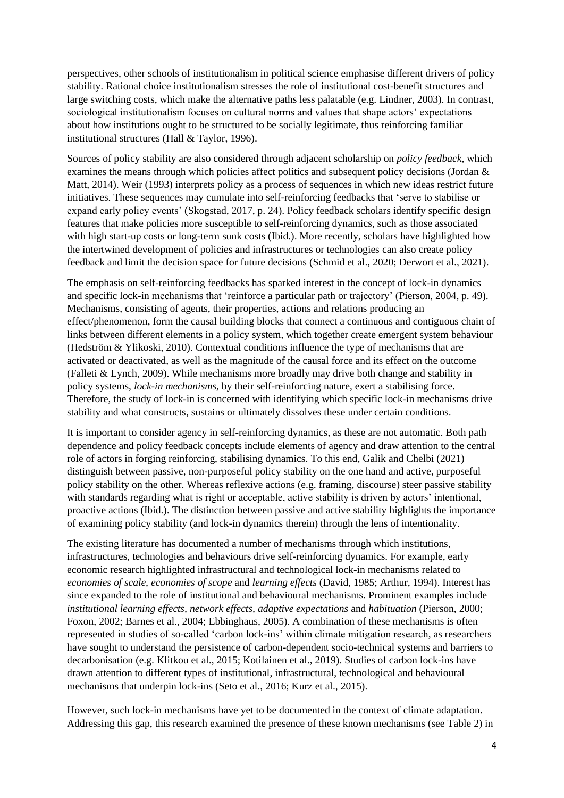perspectives, other schools of institutionalism in political science emphasise different drivers of policy stability. Rational choice institutionalism stresses the role of institutional cost-benefit structures and large switching costs, which make the alternative paths less palatable (e.g. Lindner, 2003). In contrast, sociological institutionalism focuses on cultural norms and values that shape actors' expectations about how institutions ought to be structured to be socially legitimate, thus reinforcing familiar institutional structures (Hall & Taylor, 1996).

Sources of policy stability are also considered through adjacent scholarship on *policy feedback,* which examines the means through which policies affect politics and subsequent policy decisions (Jordan & Matt, 2014). Weir (1993) interprets policy as a process of sequences in which new ideas restrict future initiatives. These sequences may cumulate into self-reinforcing feedbacks that 'serve to stabilise or expand early policy events' (Skogstad, 2017, p. 24). Policy feedback scholars identify specific design features that make policies more susceptible to self-reinforcing dynamics, such as those associated with high start-up costs or long-term sunk costs (Ibid.). More recently, scholars have highlighted how the intertwined development of policies and infrastructures or technologies can also create policy feedback and limit the decision space for future decisions (Schmid et al., 2020; Derwort et al., 2021).

The emphasis on self-reinforcing feedbacks has sparked interest in the concept of lock-in dynamics and specific lock-in mechanisms that 'reinforce a particular path or trajectory' (Pierson, 2004, p. 49). Mechanisms, consisting of agents, their properties, actions and relations producing an effect/phenomenon, form the causal building blocks that connect a continuous and contiguous chain of links between different elements in a policy system, which together create emergent system behaviour (Hedström & Ylikoski, 2010). Contextual conditions influence the type of mechanisms that are activated or deactivated, as well as the magnitude of the causal force and its effect on the outcome (Falleti & Lynch, 2009). While mechanisms more broadly may drive both change and stability in policy systems, *lock-in mechanisms*, by their self-reinforcing nature, exert a stabilising force. Therefore, the study of lock-in is concerned with identifying which specific lock-in mechanisms drive stability and what constructs, sustains or ultimately dissolves these under certain conditions.

It is important to consider agency in self-reinforcing dynamics, as these are not automatic. Both path dependence and policy feedback concepts include elements of agency and draw attention to the central role of actors in forging reinforcing, stabilising dynamics. To this end, Galik and Chelbi (2021) distinguish between passive, non-purposeful policy stability on the one hand and active, purposeful policy stability on the other. Whereas reflexive actions (e.g. framing, discourse) steer passive stability with standards regarding what is right or acceptable, active stability is driven by actors' intentional, proactive actions (Ibid.). The distinction between passive and active stability highlights the importance of examining policy stability (and lock-in dynamics therein) through the lens of intentionality.

The existing literature has documented a number of mechanisms through which institutions, infrastructures, technologies and behaviours drive self-reinforcing dynamics. For example, early economic research highlighted infrastructural and technological lock-in mechanisms related to *economies of scale, economies of scope* and *learning effects* (David, 1985; Arthur, 1994). Interest has since expanded to the role of institutional and behavioural mechanisms. Prominent examples include *institutional learning effects, network effects, adaptive expectations* and *habituation* (Pierson, 2000; Foxon, 2002; Barnes et al., 2004; Ebbinghaus, 2005). A combination of these mechanisms is often represented in studies of so-called 'carbon lock-ins' within climate mitigation research, as researchers have sought to understand the persistence of carbon-dependent socio-technical systems and barriers to decarbonisation (e.g. Klitkou et al., 2015; Kotilainen et al., 2019). Studies of carbon lock-ins have drawn attention to different types of institutional, infrastructural, technological and behavioural mechanisms that underpin lock-ins (Seto et al., 2016; Kurz et al., 2015).

However, such lock-in mechanisms have yet to be documented in the context of climate adaptation. Addressing this gap, this research examined the presence of these known mechanisms (see Table 2) in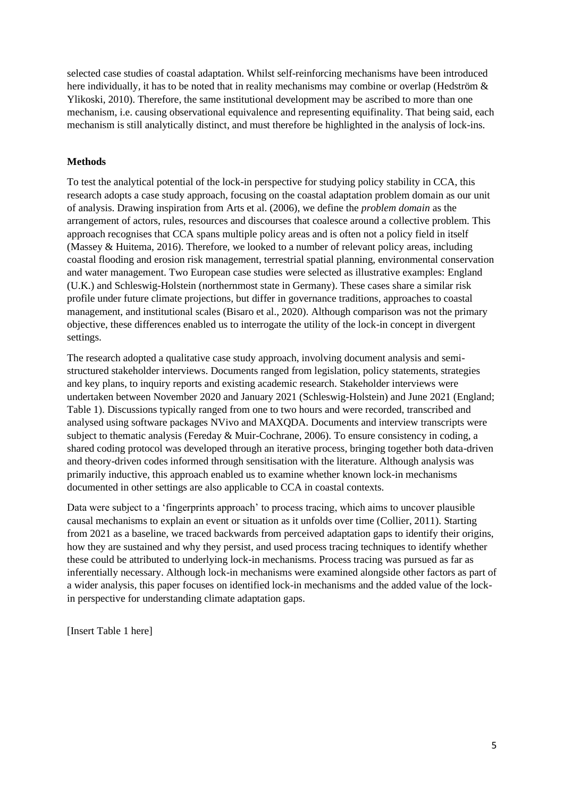selected case studies of coastal adaptation. Whilst self-reinforcing mechanisms have been introduced here individually, it has to be noted that in reality mechanisms may combine or overlap (Hedström & Ylikoski, 2010). Therefore, the same institutional development may be ascribed to more than one mechanism, i.e. causing observational equivalence and representing equifinality. That being said, each mechanism is still analytically distinct, and must therefore be highlighted in the analysis of lock-ins.

#### **Methods**

To test the analytical potential of the lock-in perspective for studying policy stability in CCA, this research adopts a case study approach, focusing on the coastal adaptation problem domain as our unit of analysis. Drawing inspiration from Arts et al. (2006), we define the *problem domain* as the arrangement of actors, rules, resources and discourses that coalesce around a collective problem. This approach recognises that CCA spans multiple policy areas and is often not a policy field in itself (Massey & Huitema, 2016). Therefore, we looked to a number of relevant policy areas, including coastal flooding and erosion risk management, terrestrial spatial planning, environmental conservation and water management. Two European case studies were selected as illustrative examples: England (U.K.) and Schleswig-Holstein (northernmost state in Germany). These cases share a similar risk profile under future climate projections, but differ in governance traditions, approaches to coastal management, and institutional scales (Bisaro et al., 2020). Although comparison was not the primary objective, these differences enabled us to interrogate the utility of the lock-in concept in divergent settings.

The research adopted a qualitative case study approach, involving document analysis and semistructured stakeholder interviews. Documents ranged from legislation, policy statements, strategies and key plans, to inquiry reports and existing academic research. Stakeholder interviews were undertaken between November 2020 and January 2021 (Schleswig-Holstein) and June 2021 (England; Table 1). Discussions typically ranged from one to two hours and were recorded, transcribed and analysed using software packages NVivo and MAXQDA. Documents and interview transcripts were subject to thematic analysis (Fereday & Muir-Cochrane, 2006). To ensure consistency in coding, a shared coding protocol was developed through an iterative process, bringing together both data-driven and theory-driven codes informed through sensitisation with the literature. Although analysis was primarily inductive, this approach enabled us to examine whether known lock-in mechanisms documented in other settings are also applicable to CCA in coastal contexts.

Data were subject to a 'fingerprints approach' to process tracing, which aims to uncover plausible causal mechanisms to explain an event or situation as it unfolds over time (Collier, 2011). Starting from 2021 as a baseline, we traced backwards from perceived adaptation gaps to identify their origins, how they are sustained and why they persist, and used process tracing techniques to identify whether these could be attributed to underlying lock-in mechanisms. Process tracing was pursued as far as inferentially necessary. Although lock-in mechanisms were examined alongside other factors as part of a wider analysis, this paper focuses on identified lock-in mechanisms and the added value of the lockin perspective for understanding climate adaptation gaps.

[Insert Table 1 here]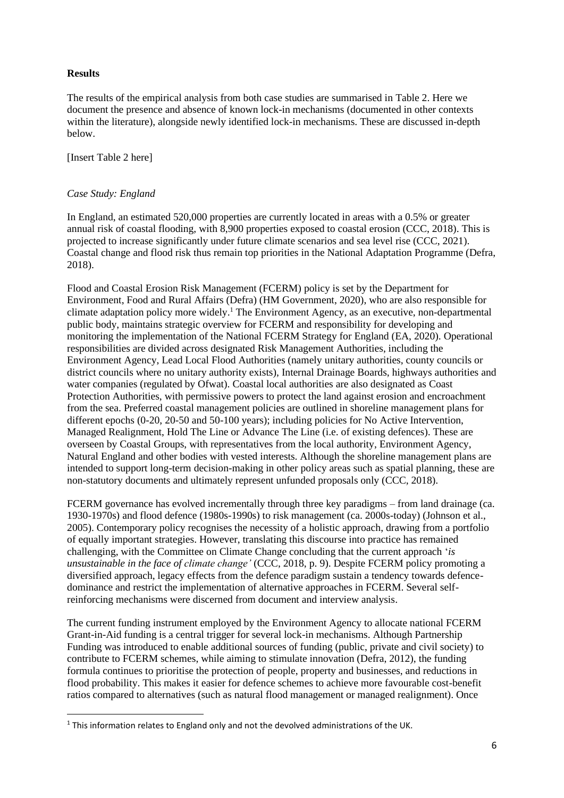### **Results**

The results of the empirical analysis from both case studies are summarised in Table 2. Here we document the presence and absence of known lock-in mechanisms (documented in other contexts within the literature), alongside newly identified lock-in mechanisms. These are discussed in-depth below.

[Insert Table 2 here]

#### *Case Study: England*

In England, an estimated 520,000 properties are currently located in areas with a 0.5% or greater annual risk of coastal flooding, with 8,900 properties exposed to coastal erosion (CCC, 2018). This is projected to increase significantly under future climate scenarios and sea level rise (CCC, 2021). Coastal change and flood risk thus remain top priorities in the National Adaptation Programme (Defra, 2018).

Flood and Coastal Erosion Risk Management (FCERM) policy is set by the Department for Environment, Food and Rural Affairs (Defra) (HM Government, 2020), who are also responsible for climate adaptation policy more widely. <sup>1</sup> The Environment Agency, as an executive, non-departmental public body, maintains strategic overview for FCERM and responsibility for developing and monitoring the implementation of the National FCERM Strategy for England (EA, 2020). Operational responsibilities are divided across designated Risk Management Authorities, including the Environment Agency, Lead Local Flood Authorities (namely unitary authorities, county councils or district councils where no unitary authority exists), Internal Drainage Boards, highways authorities and water companies (regulated by Ofwat). Coastal local authorities are also designated as Coast Protection Authorities, with permissive powers to protect the land against erosion and encroachment from the sea. Preferred coastal management policies are outlined in shoreline management plans for different epochs (0-20, 20-50 and 50-100 years); including policies for No Active Intervention, Managed Realignment, Hold The Line or Advance The Line (i.e. of existing defences). These are overseen by Coastal Groups, with representatives from the local authority, Environment Agency, Natural England and other bodies with vested interests. Although the shoreline management plans are intended to support long-term decision-making in other policy areas such as spatial planning, these are non-statutory documents and ultimately represent unfunded proposals only (CCC, 2018).

FCERM governance has evolved incrementally through three key paradigms – from land drainage (ca. 1930-1970s) and flood defence (1980s-1990s) to risk management (ca. 2000s-today) (Johnson et al., 2005). Contemporary policy recognises the necessity of a holistic approach, drawing from a portfolio of equally important strategies. However, translating this discourse into practice has remained challenging, with the Committee on Climate Change concluding that the current approach '*is unsustainable in the face of climate change'* (CCC, 2018, p. 9). Despite FCERM policy promoting a diversified approach, legacy effects from the defence paradigm sustain a tendency towards defencedominance and restrict the implementation of alternative approaches in FCERM. Several selfreinforcing mechanisms were discerned from document and interview analysis.

The current funding instrument employed by the Environment Agency to allocate national FCERM Grant-in-Aid funding is a central trigger for several lock-in mechanisms. Although Partnership Funding was introduced to enable additional sources of funding (public, private and civil society) to contribute to FCERM schemes, while aiming to stimulate innovation (Defra, 2012), the funding formula continues to prioritise the protection of people, property and businesses, and reductions in flood probability. This makes it easier for defence schemes to achieve more favourable cost-benefit ratios compared to alternatives (such as natural flood management or managed realignment). Once

<sup>&</sup>lt;sup>1</sup> This information relates to England only and not the devolved administrations of the UK.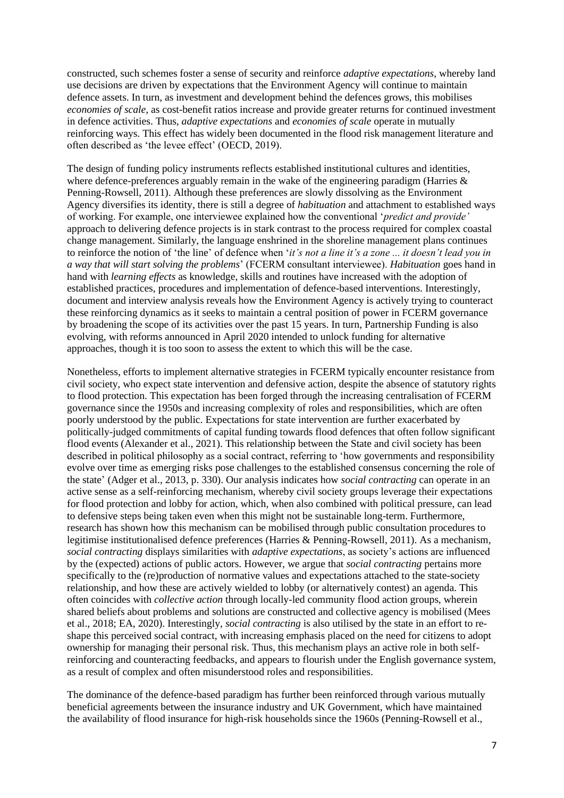constructed, such schemes foster a sense of security and reinforce *adaptive expectations*, whereby land use decisions are driven by expectations that the Environment Agency will continue to maintain defence assets. In turn, as investment and development behind the defences grows, this mobilises *economies of scale*, as cost-benefit ratios increase and provide greater returns for continued investment in defence activities. Thus, *adaptive expectations* and *economies of scale* operate in mutually reinforcing ways. This effect has widely been documented in the flood risk management literature and often described as 'the levee effect' (OECD, 2019).

The design of funding policy instruments reflects established institutional cultures and identities, where defence-preferences arguably remain in the wake of the engineering paradigm (Harries & Penning-Rowsell, 2011). Although these preferences are slowly dissolving as the Environment Agency diversifies its identity, there is still a degree of *habituation* and attachment to established ways of working. For example, one interviewee explained how the conventional '*predict and provide'* approach to delivering defence projects is in stark contrast to the process required for complex coastal change management. Similarly, the language enshrined in the shoreline management plans continues to reinforce the notion of 'the line' of defence when '*it's not a line it's a zone ... it doesn't lead you in a way that will start solving the problems*' (FCERM consultant interviewee). *Habituation* goes hand in hand with *learning effects* as knowledge, skills and routines have increased with the adoption of established practices, procedures and implementation of defence-based interventions. Interestingly, document and interview analysis reveals how the Environment Agency is actively trying to counteract these reinforcing dynamics as it seeks to maintain a central position of power in FCERM governance by broadening the scope of its activities over the past 15 years. In turn, Partnership Funding is also evolving, with reforms announced in April 2020 intended to unlock funding for alternative approaches, though it is too soon to assess the extent to which this will be the case.

Nonetheless, efforts to implement alternative strategies in FCERM typically encounter resistance from civil society, who expect state intervention and defensive action, despite the absence of statutory rights to flood protection. This expectation has been forged through the increasing centralisation of FCERM governance since the 1950s and increasing complexity of roles and responsibilities, which are often poorly understood by the public. Expectations for state intervention are further exacerbated by politically-judged commitments of capital funding towards flood defences that often follow significant flood events (Alexander et al., 2021). This relationship between the State and civil society has been described in political philosophy as a social contract, referring to 'how governments and responsibility evolve over time as emerging risks pose challenges to the established consensus concerning the role of the state' (Adger et al., 2013, p. 330). Our analysis indicates how *social contracting* can operate in an active sense as a self-reinforcing mechanism, whereby civil society groups leverage their expectations for flood protection and lobby for action, which, when also combined with political pressure, can lead to defensive steps being taken even when this might not be sustainable long-term. Furthermore, research has shown how this mechanism can be mobilised through public consultation procedures to legitimise institutionalised defence preferences (Harries & Penning-Rowsell, 2011). As a mechanism, *social contracting* displays similarities with *adaptive expectations*, as society's actions are influenced by the (expected) actions of public actors. However, we argue that *social contracting* pertains more specifically to the (re)production of normative values and expectations attached to the state-society relationship, and how these are actively wielded to lobby (or alternatively contest) an agenda. This often coincides with *collective action* through locally-led community flood action groups, wherein shared beliefs about problems and solutions are constructed and collective agency is mobilised (Mees et al., 2018; EA, 2020). Interestingly, *social contracting* is also utilised by the state in an effort to reshape this perceived social contract, with increasing emphasis placed on the need for citizens to adopt ownership for managing their personal risk. Thus, this mechanism plays an active role in both selfreinforcing and counteracting feedbacks, and appears to flourish under the English governance system, as a result of complex and often misunderstood roles and responsibilities.

The dominance of the defence-based paradigm has further been reinforced through various mutually beneficial agreements between the insurance industry and UK Government, which have maintained the availability of flood insurance for high-risk households since the 1960s (Penning-Rowsell et al.,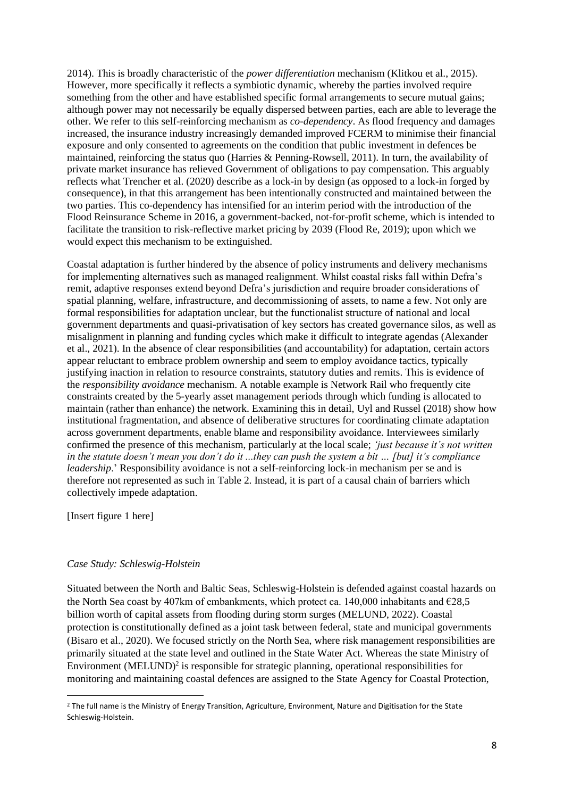2014). This is broadly characteristic of the *power differentiation* mechanism (Klitkou et al., 2015). However, more specifically it reflects a symbiotic dynamic, whereby the parties involved require something from the other and have established specific formal arrangements to secure mutual gains; although power may not necessarily be equally dispersed between parties, each are able to leverage the other. We refer to this self-reinforcing mechanism as *co-dependency*. As flood frequency and damages increased, the insurance industry increasingly demanded improved FCERM to minimise their financial exposure and only consented to agreements on the condition that public investment in defences be maintained, reinforcing the status quo (Harries & Penning-Rowsell, 2011). In turn, the availability of private market insurance has relieved Government of obligations to pay compensation. This arguably reflects what Trencher et al. (2020) describe as a lock-in by design (as opposed to a lock-in forged by consequence), in that this arrangement has been intentionally constructed and maintained between the two parties. This co-dependency has intensified for an interim period with the introduction of the Flood Reinsurance Scheme in 2016, a government-backed, not-for-profit scheme, which is intended to facilitate the transition to risk-reflective market pricing by 2039 (Flood Re, 2019); upon which we would expect this mechanism to be extinguished.

Coastal adaptation is further hindered by the absence of policy instruments and delivery mechanisms for implementing alternatives such as managed realignment. Whilst coastal risks fall within Defra's remit, adaptive responses extend beyond Defra's jurisdiction and require broader considerations of spatial planning, welfare, infrastructure, and decommissioning of assets, to name a few. Not only are formal responsibilities for adaptation unclear, but the functionalist structure of national and local government departments and quasi-privatisation of key sectors has created governance silos, as well as misalignment in planning and funding cycles which make it difficult to integrate agendas (Alexander et al., 2021). In the absence of clear responsibilities (and accountability) for adaptation, certain actors appear reluctant to embrace problem ownership and seem to employ avoidance tactics, typically justifying inaction in relation to resource constraints, statutory duties and remits. This is evidence of the *responsibility avoidance* mechanism. A notable example is Network Rail who frequently cite constraints created by the 5-yearly asset management periods through which funding is allocated to maintain (rather than enhance) the network. Examining this in detail, Uyl and Russel (2018) show how institutional fragmentation, and absence of deliberative structures for coordinating climate adaptation across government departments, enable blame and responsibility avoidance. Interviewees similarly confirmed the presence of this mechanism, particularly at the local scale; *'just because it's not written in the statute doesn't mean you don't do it ...they can push the system a bit … [but] it's compliance leadership*.' Responsibility avoidance is not a self-reinforcing lock-in mechanism per se and is therefore not represented as such in Table 2. Instead, it is part of a causal chain of barriers which collectively impede adaptation.

[Insert figure 1 here]

#### *Case Study: Schleswig-Holstein*

Situated between the North and Baltic Seas, Schleswig-Holstein is defended against coastal hazards on the North Sea coast by 407km of embankments, which protect ca. 140,000 inhabitants and  $\epsilon$ 28.5 billion worth of capital assets from flooding during storm surges (MELUND, 2022). Coastal protection is constitutionally defined as a joint task between federal, state and municipal governments (Bisaro et al., 2020). We focused strictly on the North Sea, where risk management responsibilities are primarily situated at the state level and outlined in the State Water Act. Whereas the state Ministry of Environment (MELUND)<sup>2</sup> is responsible for strategic planning, operational responsibilities for monitoring and maintaining coastal defences are assigned to the State Agency for Coastal Protection,

<sup>&</sup>lt;sup>2</sup> The full name is the Ministry of Energy Transition, Agriculture, Environment, Nature and Digitisation for the State Schleswig-Holstein.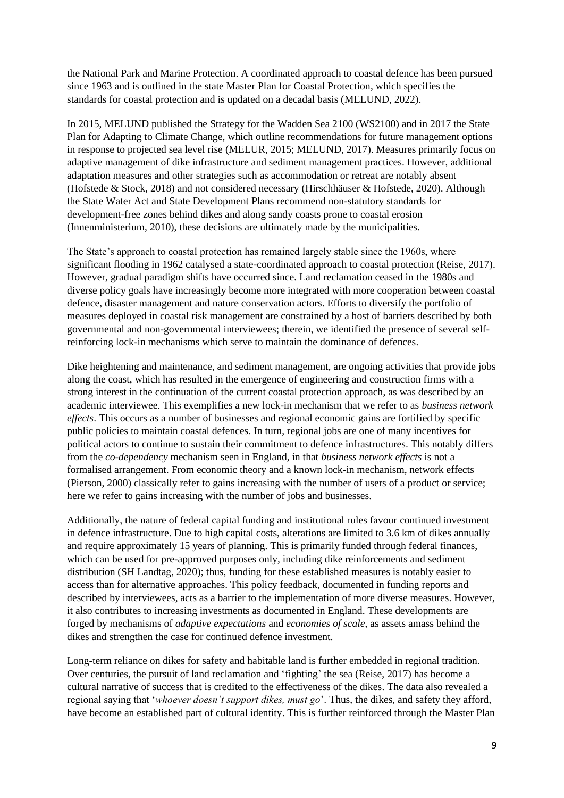the National Park and Marine Protection. A coordinated approach to coastal defence has been pursued since 1963 and is outlined in the state Master Plan for Coastal Protection, which specifies the standards for coastal protection and is updated on a decadal basis (MELUND, 2022).

In 2015, MELUND published the Strategy for the Wadden Sea 2100 (WS2100) and in 2017 the State Plan for Adapting to Climate Change, which outline recommendations for future management options in response to projected sea level rise (MELUR, 2015; MELUND, 2017). Measures primarily focus on adaptive management of dike infrastructure and sediment management practices. However, additional adaptation measures and other strategies such as accommodation or retreat are notably absent (Hofstede & Stock, 2018) and not considered necessary (Hirschhäuser & Hofstede, 2020). Although the State Water Act and State Development Plans recommend non-statutory standards for development-free zones behind dikes and along sandy coasts prone to coastal erosion (Innenministerium, 2010), these decisions are ultimately made by the municipalities.

The State's approach to coastal protection has remained largely stable since the 1960s, where significant flooding in 1962 catalysed a state-coordinated approach to coastal protection (Reise, 2017). However, gradual paradigm shifts have occurred since. Land reclamation ceased in the 1980s and diverse policy goals have increasingly become more integrated with more cooperation between coastal defence, disaster management and nature conservation actors. Efforts to diversify the portfolio of measures deployed in coastal risk management are constrained by a host of barriers described by both governmental and non-governmental interviewees; therein, we identified the presence of several selfreinforcing lock-in mechanisms which serve to maintain the dominance of defences.

Dike heightening and maintenance, and sediment management, are ongoing activities that provide jobs along the coast, which has resulted in the emergence of engineering and construction firms with a strong interest in the continuation of the current coastal protection approach, as was described by an academic interviewee. This exemplifies a new lock-in mechanism that we refer to as *business network effects*. This occurs as a number of businesses and regional economic gains are fortified by specific public policies to maintain coastal defences. In turn, regional jobs are one of many incentives for political actors to continue to sustain their commitment to defence infrastructures. This notably differs from the *co-dependency* mechanism seen in England, in that *business network effects* is not a formalised arrangement. From economic theory and a known lock-in mechanism, network effects (Pierson, 2000) classically refer to gains increasing with the number of users of a product or service; here we refer to gains increasing with the number of jobs and businesses.

Additionally, the nature of federal capital funding and institutional rules favour continued investment in defence infrastructure. Due to high capital costs, alterations are limited to 3.6 km of dikes annually and require approximately 15 years of planning. This is primarily funded through federal finances, which can be used for pre-approved purposes only, including dike reinforcements and sediment distribution (SH Landtag, 2020); thus, funding for these established measures is notably easier to access than for alternative approaches. This policy feedback, documented in funding reports and described by interviewees, acts as a barrier to the implementation of more diverse measures. However, it also contributes to increasing investments as documented in England. These developments are forged by mechanisms of *adaptive expectations* and *economies of scale*, as assets amass behind the dikes and strengthen the case for continued defence investment.

Long-term reliance on dikes for safety and habitable land is further embedded in regional tradition. Over centuries, the pursuit of land reclamation and 'fighting' the sea (Reise, 2017) has become a cultural narrative of success that is credited to the effectiveness of the dikes. The data also revealed a regional saying that '*whoever doesn't support dikes, must go*'. Thus, the dikes, and safety they afford, have become an established part of cultural identity. This is further reinforced through the Master Plan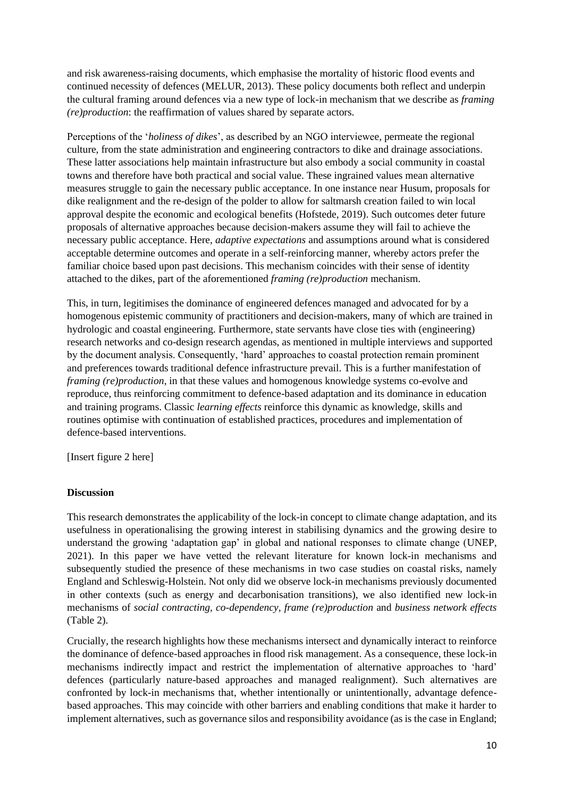and risk awareness-raising documents, which emphasise the mortality of historic flood events and continued necessity of defences (MELUR, 2013). These policy documents both reflect and underpin the cultural framing around defences via a new type of lock-in mechanism that we describe as *framing (re)production*: the reaffirmation of values shared by separate actors.

Perceptions of the '*holiness of dikes*', as described by an NGO interviewee, permeate the regional culture, from the state administration and engineering contractors to dike and drainage associations. These latter associations help maintain infrastructure but also embody a social community in coastal towns and therefore have both practical and social value. These ingrained values mean alternative measures struggle to gain the necessary public acceptance. In one instance near Husum, proposals for dike realignment and the re-design of the polder to allow for saltmarsh creation failed to win local approval despite the economic and ecological benefits (Hofstede, 2019). Such outcomes deter future proposals of alternative approaches because decision-makers assume they will fail to achieve the necessary public acceptance. Here, *adaptive expectations* and assumptions around what is considered acceptable determine outcomes and operate in a self-reinforcing manner, whereby actors prefer the familiar choice based upon past decisions. This mechanism coincides with their sense of identity attached to the dikes, part of the aforementioned *framing (re)production* mechanism.

This, in turn, legitimises the dominance of engineered defences managed and advocated for by a homogenous epistemic community of practitioners and decision-makers, many of which are trained in hydrologic and coastal engineering. Furthermore, state servants have close ties with (engineering) research networks and co-design research agendas, as mentioned in multiple interviews and supported by the document analysis. Consequently, 'hard' approaches to coastal protection remain prominent and preferences towards traditional defence infrastructure prevail. This is a further manifestation of *framing (re)production*, in that these values and homogenous knowledge systems co-evolve and reproduce, thus reinforcing commitment to defence-based adaptation and its dominance in education and training programs. Classic *learning effects* reinforce this dynamic as knowledge, skills and routines optimise with continuation of established practices, procedures and implementation of defence-based interventions.

[Insert figure 2 here]

#### **Discussion**

This research demonstrates the applicability of the lock-in concept to climate change adaptation, and its usefulness in operationalising the growing interest in stabilising dynamics and the growing desire to understand the growing 'adaptation gap' in global and national responses to climate change (UNEP, 2021). In this paper we have vetted the relevant literature for known lock-in mechanisms and subsequently studied the presence of these mechanisms in two case studies on coastal risks, namely England and Schleswig-Holstein. Not only did we observe lock-in mechanisms previously documented in other contexts (such as energy and decarbonisation transitions), we also identified new lock-in mechanisms of *social contracting, co-dependency, frame (re)production* and *business network effects* (Table 2).

Crucially, the research highlights how these mechanisms intersect and dynamically interact to reinforce the dominance of defence-based approaches in flood risk management. As a consequence, these lock-in mechanisms indirectly impact and restrict the implementation of alternative approaches to 'hard' defences (particularly nature-based approaches and managed realignment). Such alternatives are confronted by lock-in mechanisms that, whether intentionally or unintentionally, advantage defencebased approaches. This may coincide with other barriers and enabling conditions that make it harder to implement alternatives, such as governance silos and responsibility avoidance (as is the case in England;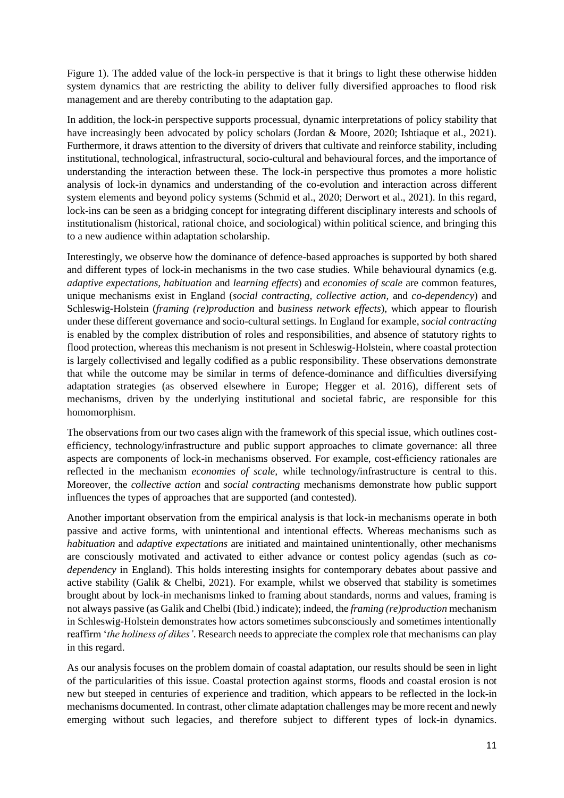Figure 1). The added value of the lock-in perspective is that it brings to light these otherwise hidden system dynamics that are restricting the ability to deliver fully diversified approaches to flood risk management and are thereby contributing to the adaptation gap.

In addition, the lock-in perspective supports processual, dynamic interpretations of policy stability that have increasingly been advocated by policy scholars (Jordan & Moore, 2020; Ishtiaque et al., 2021). Furthermore, it draws attention to the diversity of drivers that cultivate and reinforce stability, including institutional, technological, infrastructural, socio-cultural and behavioural forces, and the importance of understanding the interaction between these. The lock-in perspective thus promotes a more holistic analysis of lock-in dynamics and understanding of the co-evolution and interaction across different system elements and beyond policy systems (Schmid et al., 2020; Derwort et al., 2021). In this regard, lock-ins can be seen as a bridging concept for integrating different disciplinary interests and schools of institutionalism (historical, rational choice, and sociological) within political science, and bringing this to a new audience within adaptation scholarship.

Interestingly, we observe how the dominance of defence-based approaches is supported by both shared and different types of lock-in mechanisms in the two case studies. While behavioural dynamics (e.g. *adaptive expectations, habituation* and *learning effects*) and *economies of scale* are common features, unique mechanisms exist in England (*social contracting, collective action,* and *co-dependency*) and Schleswig-Holstein (*framing (re)production* and *business network effects*), which appear to flourish under these different governance and socio-cultural settings. In England for example, *social contracting* is enabled by the complex distribution of roles and responsibilities, and absence of statutory rights to flood protection, whereas this mechanism is not present in Schleswig-Holstein, where coastal protection is largely collectivised and legally codified as a public responsibility. These observations demonstrate that while the outcome may be similar in terms of defence-dominance and difficulties diversifying adaptation strategies (as observed elsewhere in Europe; Hegger et al. 2016), different sets of mechanisms, driven by the underlying institutional and societal fabric, are responsible for this homomorphism.

The observations from our two cases align with the framework of this special issue, which outlines costefficiency, technology/infrastructure and public support approaches to climate governance: all three aspects are components of lock-in mechanisms observed. For example, cost-efficiency rationales are reflected in the mechanism *economies of scale,* while technology/infrastructure is central to this. Moreover, the *collective action* and *social contracting* mechanisms demonstrate how public support influences the types of approaches that are supported (and contested).

Another important observation from the empirical analysis is that lock-in mechanisms operate in both passive and active forms, with unintentional and intentional effects. Whereas mechanisms such as *habituation* and *adaptive expectations* are initiated and maintained unintentionally, other mechanisms are consciously motivated and activated to either advance or contest policy agendas (such as *codependency* in England). This holds interesting insights for contemporary debates about passive and active stability (Galik & Chelbi, 2021). For example, whilst we observed that stability is sometimes brought about by lock-in mechanisms linked to framing about standards, norms and values, framing is not always passive (as Galik and Chelbi (Ibid.) indicate); indeed, the *framing (re)production* mechanism in Schleswig-Holstein demonstrates how actors sometimes subconsciously and sometimes intentionally reaffirm '*the holiness of dikes'*. Research needs to appreciate the complex role that mechanisms can play in this regard.

As our analysis focuses on the problem domain of coastal adaptation, our results should be seen in light of the particularities of this issue. Coastal protection against storms, floods and coastal erosion is not new but steeped in centuries of experience and tradition, which appears to be reflected in the lock-in mechanisms documented. In contrast, other climate adaptation challenges may be more recent and newly emerging without such legacies, and therefore subject to different types of lock-in dynamics.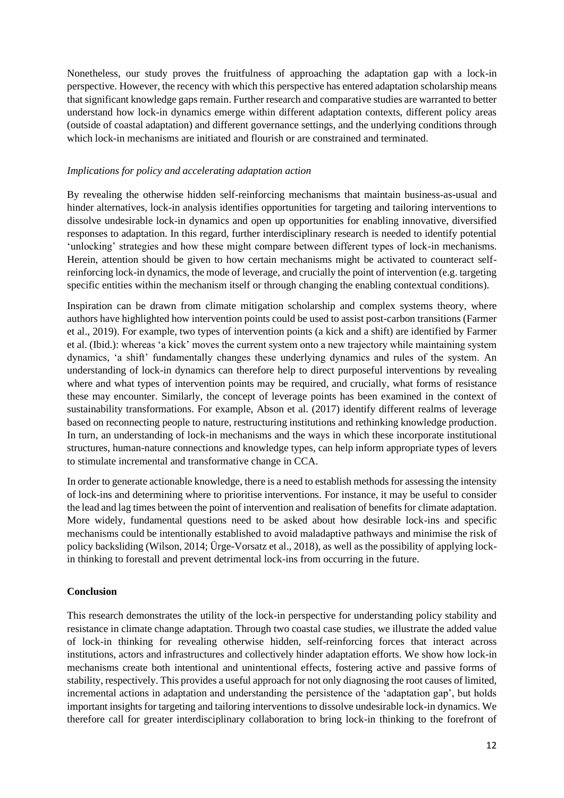Nonetheless, our study proves the fruitfulness of approaching the adaptation gap with a lock-in perspective. However, the recency with which this perspective has entered adaptation scholarship means that significant knowledge gaps remain. Further research and comparative studies are warranted to better understand how lock-in dynamics emerge within different adaptation contexts, different policy areas (outside of coastal adaptation) and different governance settings, and the underlying conditions through which lock-in mechanisms are initiated and flourish or are constrained and terminated.

#### *Implications for policy and accelerating adaptation action*

By revealing the otherwise hidden self-reinforcing mechanisms that maintain business-as-usual and hinder alternatives, lock-in analysis identifies opportunities for targeting and tailoring interventions to dissolve undesirable lock-in dynamics and open up opportunities for enabling innovative, diversified responses to adaptation. In this regard, further interdisciplinary research is needed to identify potential 'unlocking' strategies and how these might compare between different types of lock-in mechanisms. Herein, attention should be given to how certain mechanisms might be activated to counteract selfreinforcing lock-in dynamics, the mode of leverage, and crucially the point of intervention (e.g. targeting specific entities within the mechanism itself or through changing the enabling contextual conditions).

Inspiration can be drawn from climate mitigation scholarship and complex systems theory, where authors have highlighted how intervention points could be used to assist post-carbon transitions (Farmer et al., 2019). For example, two types of intervention points (a kick and a shift) are identified by Farmer et al. (Ibid.): whereas 'a kick' moves the current system onto a new trajectory while maintaining system dynamics, 'a shift' fundamentally changes these underlying dynamics and rules of the system. An understanding of lock-in dynamics can therefore help to direct purposeful interventions by revealing where and what types of intervention points may be required, and crucially, what forms of resistance these may encounter. Similarly, the concept of leverage points has been examined in the context of sustainability transformations. For example, Abson et al. (2017) identify different realms of leverage based on reconnecting people to nature, restructuring institutions and rethinking knowledge production. In turn, an understanding of lock-in mechanisms and the ways in which these incorporate institutional structures, human-nature connections and knowledge types, can help inform appropriate types of levers to stimulate incremental and transformative change in CCA.

In order to generate actionable knowledge, there is a need to establish methods for assessing the intensity of lock-ins and determining where to prioritise interventions. For instance, it may be useful to consider the lead and lag times between the point of intervention and realisation of benefits for climate adaptation. More widely, fundamental questions need to be asked about how desirable lock-ins and specific mechanisms could be intentionally established to avoid maladaptive pathways and minimise the risk of policy backsliding (Wilson, 2014; Ürge-Vorsatz et al., 2018), as well as the possibility of applying lockin thinking to forestall and prevent detrimental lock-ins from occurring in the future.

# **Conclusion**

This research demonstrates the utility of the lock-in perspective for understanding policy stability and resistance in climate change adaptation. Through two coastal case studies, we illustrate the added value of lock-in thinking for revealing otherwise hidden, self-reinforcing forces that interact across institutions, actors and infrastructures and collectively hinder adaptation efforts. We show how lock-in mechanisms create both intentional and unintentional effects, fostering active and passive forms of stability, respectively. This provides a useful approach for not only diagnosing the root causes of limited, incremental actions in adaptation and understanding the persistence of the 'adaptation gap', but holds important insights for targeting and tailoring interventions to dissolve undesirable lock-in dynamics. We therefore call for greater interdisciplinary collaboration to bring lock-in thinking to the forefront of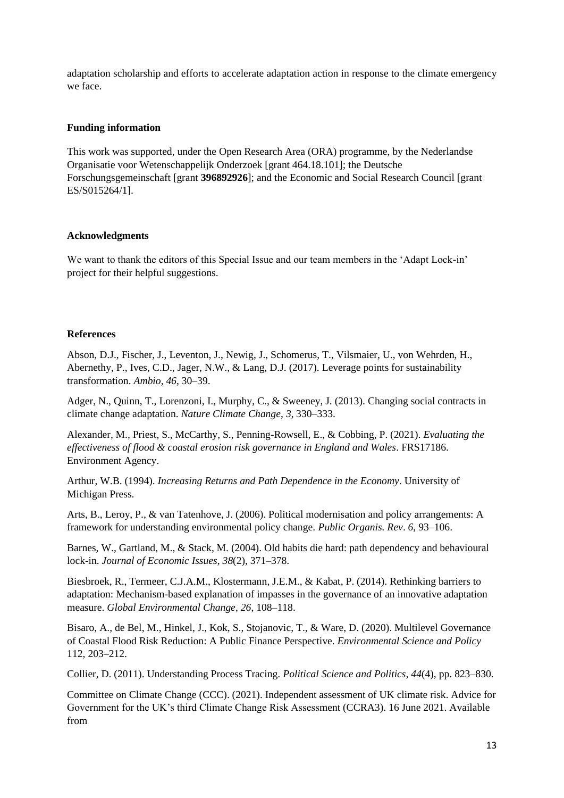adaptation scholarship and efforts to accelerate adaptation action in response to the climate emergency we face.

#### **Funding information**

This work was supported, under the Open Research Area (ORA) programme, by the Nederlandse Organisatie voor Wetenschappelijk Onderzoek [grant 464.18.101]; the Deutsche Forschungsgemeinschaft [grant **396892926**]; and the Economic and Social Research Council [grant ES/S015264/1].

#### **Acknowledgments**

We want to thank the editors of this Special Issue and our team members in the 'Adapt Lock-in' project for their helpful suggestions.

#### **References**

Abson, D.J., Fischer, J., Leventon, J., Newig, J., Schomerus, T., Vilsmaier, U., von Wehrden, H., Abernethy, P., Ives, C.D., Jager, N.W., & Lang, D.J. (2017). Leverage points for sustainability transformation. *Ambio*, *46*, 30–39.

Adger, N., Quinn, T., Lorenzoni, I., Murphy, C., & Sweeney, J. (2013). Changing social contracts in climate change adaptation. *Nature Climate Change*, *3*, 330–333.

Alexander, M., Priest, S., McCarthy, S., Penning-Rowsell, E., & Cobbing, P. (2021). *Evaluating the effectiveness of flood & coastal erosion risk governance in England and Wales*. FRS17186. Environment Agency.

Arthur, W.B. (1994). *Increasing Returns and Path Dependence in the Economy*. University of Michigan Press.

Arts, B., Leroy, P., & van Tatenhove, J. (2006). Political modernisation and policy arrangements: A framework for understanding environmental policy change. *Public Organis. Rev*. *6*, 93–106.

Barnes, W., Gartland, M., & Stack, M. (2004). Old habits die hard: path dependency and behavioural lock-in. *Journal of Economic Issues, 38*(2), 371–378.

Biesbroek, R., Termeer, C.J.A.M., Klostermann, J.E.M., & Kabat, P. (2014). Rethinking barriers to adaptation: Mechanism-based explanation of impasses in the governance of an innovative adaptation measure. *Global Environmental Change*, *26*, 108–118.

Bisaro, A., de Bel, M., Hinkel, J., Kok, S., Stojanovic, T., & Ware, D. (2020). Multilevel Governance of Coastal Flood Risk Reduction: A Public Finance Perspective. *Environmental Science and Policy* 112, 203–212.

Collier, D. (2011). Understanding Process Tracing. *Political Science and Politics*, *44*(4), pp. 823–830.

Committee on Climate Change (CCC). (2021). Independent assessment of UK climate risk. Advice for Government for the UK's third Climate Change Risk Assessment (CCRA3). 16 June 2021. Available from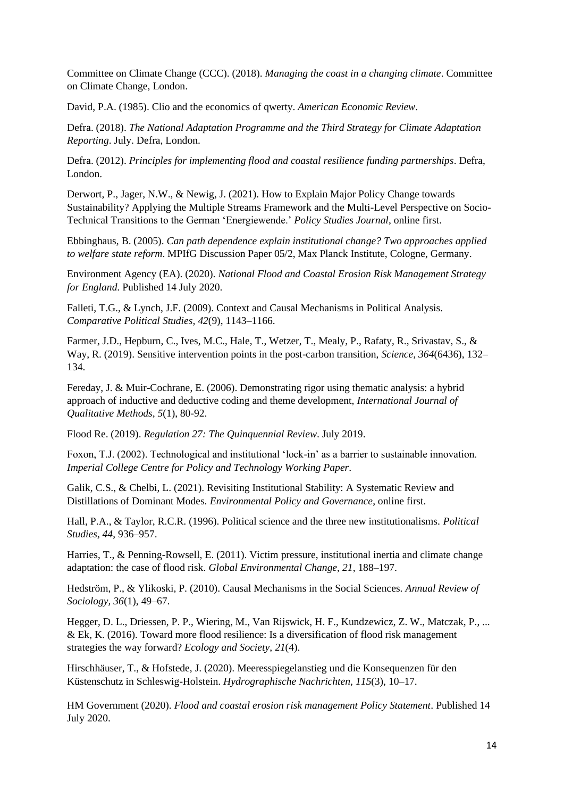Committee on Climate Change (CCC). (2018). *Managing the coast in a changing climate*. Committee on Climate Change, London.

David, P.A. (1985). Clio and the economics of qwerty. *American Economic Review*.

Defra. (2018). *The National Adaptation Programme and the Third Strategy for Climate Adaptation Reporting*. July. Defra, London.

Defra. (2012). *Principles for implementing flood and coastal resilience funding partnerships*. Defra, London.

Derwort, P., Jager, N.W., & Newig, J. (2021). How to Explain Major Policy Change towards Sustainability? Applying the Multiple Streams Framework and the Multi-Level Perspective on Socio-Technical Transitions to the German 'Energiewende.' *Policy Studies Journal*, online first.

Ebbinghaus, B. (2005). *Can path dependence explain institutional change? Two approaches applied to welfare state reform*. MPIfG Discussion Paper 05/2, Max Planck Institute, Cologne, Germany.

Environment Agency (EA). (2020). *National Flood and Coastal Erosion Risk Management Strategy for England*. Published 14 July 2020.

Falleti, T.G., & Lynch, J.F. (2009). Context and Causal Mechanisms in Political Analysis. *Comparative Political Studies, 42*(9), 1143–1166.

Farmer, J.D., Hepburn, C., Ives, M.C., Hale, T., Wetzer, T., Mealy, P., Rafaty, R., Srivastav, S., & Way, R. (2019). Sensitive intervention points in the post-carbon transition, *Science, 364*(6436), 132– 134.

Fereday, J. & Muir-Cochrane, E. (2006). Demonstrating rigor using thematic analysis: a hybrid approach of inductive and deductive coding and theme development, *International Journal of Qualitative Methods, 5*(1), 80-92.

Flood Re. (2019). *Regulation 27: The Quinquennial Review*. July 2019.

Foxon, T.J. (2002). Technological and institutional 'lock-in' as a barrier to sustainable innovation. *Imperial College Centre for Policy and Technology Working Paper*.

Galik, C.S., & Chelbi, L. (2021). Revisiting Institutional Stability: A Systematic Review and Distillations of Dominant Modes. *Environmental Policy and Governance*, online first.

Hall, P.A., & Taylor, R.C.R. (1996). Political science and the three new institutionalisms. *Political Studies, 44*, 936–957.

Harries, T., & Penning-Rowsell, E. (2011). Victim pressure, institutional inertia and climate change adaptation: the case of flood risk. *Global Environmental Change*, *21*, 188–197.

Hedström, P., & Ylikoski, P. (2010). Causal Mechanisms in the Social Sciences. *Annual Review of Sociology, 36*(1), 49–67.

Hegger, D. L., Driessen, P. P., Wiering, M., Van Rijswick, H. F., Kundzewicz, Z. W., Matczak, P., ... & Ek, K. (2016). Toward more flood resilience: Is a diversification of flood risk management strategies the way forward? *Ecology and Society*, *21*(4).

Hirschhäuser, T., & Hofstede, J. (2020). Meeresspiegelanstieg und die Konsequenzen für den Küstenschutz in Schleswig-Holstein. *Hydrographische Nachrichten, 115*(3), 10–17.

HM Government (2020). *Flood and coastal erosion risk management Policy Statement*. Published 14 July 2020.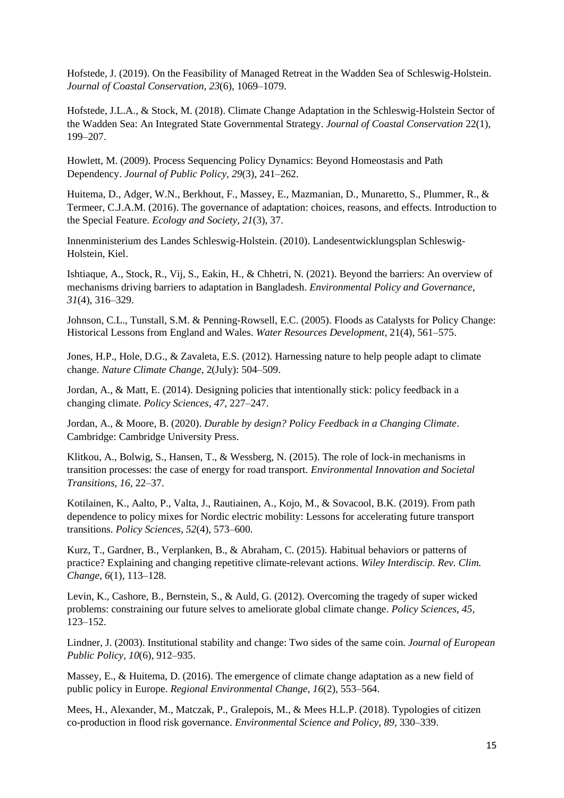Hofstede, J. (2019). On the Feasibility of Managed Retreat in the Wadden Sea of Schleswig-Holstein. *Journal of Coastal Conservation, 23*(6), 1069–1079.

Hofstede, J.L.A., & Stock, M. (2018). Climate Change Adaptation in the Schleswig-Holstein Sector of the Wadden Sea: An Integrated State Governmental Strategy. *Journal of Coastal Conservation* 22(1), 199–207.

Howlett, M. (2009). Process Sequencing Policy Dynamics: Beyond Homeostasis and Path Dependency. *Journal of Public Policy, 29*(3), 241–262.

Huitema, D., Adger, W.N., Berkhout, F., Massey, E., Mazmanian, D., Munaretto, S., Plummer, R., & Termeer, C.J.A.M. (2016). The governance of adaptation: choices, reasons, and effects. Introduction to the Special Feature. *Ecology and Society*, *21*(3), 37.

Innenministerium des Landes Schleswig-Holstein. (2010). Landesentwicklungsplan Schleswig-Holstein, Kiel.

Ishtiaque, A., Stock, R., Vij, S., Eakin, H., & Chhetri, N*.* (2021). Beyond the barriers: An overview of mechanisms driving barriers to adaptation in Bangladesh. *Environmental Policy and Governance*, *31*(4), 316–329.

Johnson, C.L., Tunstall, S.M. & Penning-Rowsell, E.C. (2005). Floods as Catalysts for Policy Change: Historical Lessons from England and Wales. *Water Resources Development*, 21(4), 561–575.

Jones, H.P., Hole, D.G., & Zavaleta, E.S. (2012). Harnessing nature to help people adapt to climate change. *Nature Climate Change*, 2(July): 504–509.

Jordan, A., & Matt, E. (2014). Designing policies that intentionally stick: policy feedback in a changing climate. *Policy Sciences, 47*, 227–247.

Jordan, A., & Moore, B. (2020). *Durable by design? Policy Feedback in a Changing Climate*. Cambridge: Cambridge University Press.

Klitkou, A., Bolwig, S., Hansen, T., & Wessberg, N. (2015). The role of lock-in mechanisms in transition processes: the case of energy for road transport. *Environmental Innovation and Societal Transitions, 16*, 22–37.

Kotilainen, K., Aalto, P., Valta, J., Rautiainen, A., Kojo, M., & Sovacool, B.K. (2019). From path dependence to policy mixes for Nordic electric mobility: Lessons for accelerating future transport transitions. *Policy Sciences*, *52*(4), 573–600.

Kurz, T., Gardner, B., Verplanken, B., & Abraham, C. (2015). Habitual behaviors or patterns of practice? Explaining and changing repetitive climate-relevant actions. *Wiley Interdiscip. Rev. Clim. Change, 6*(1), 113–128.

Levin, K., Cashore, B., Bernstein, S., & Auld, G. (2012). Overcoming the tragedy of super wicked problems: constraining our future selves to ameliorate global climate change. *Policy Sciences, 45*, 123–152.

Lindner, J. (2003). Institutional stability and change: Two sides of the same coin. *Journal of European Public Policy, 10*(6), 912–935.

Massey, E., & Huitema, D. (2016). The emergence of climate change adaptation as a new field of public policy in Europe. *Regional Environmental Change, 16*(2), 553–564.

Mees, H., Alexander, M., Matczak, P., Gralepois, M., & Mees H.L.P. (2018). Typologies of citizen co-production in flood risk governance. *Environmental Science and Policy*, *89*, 330–339.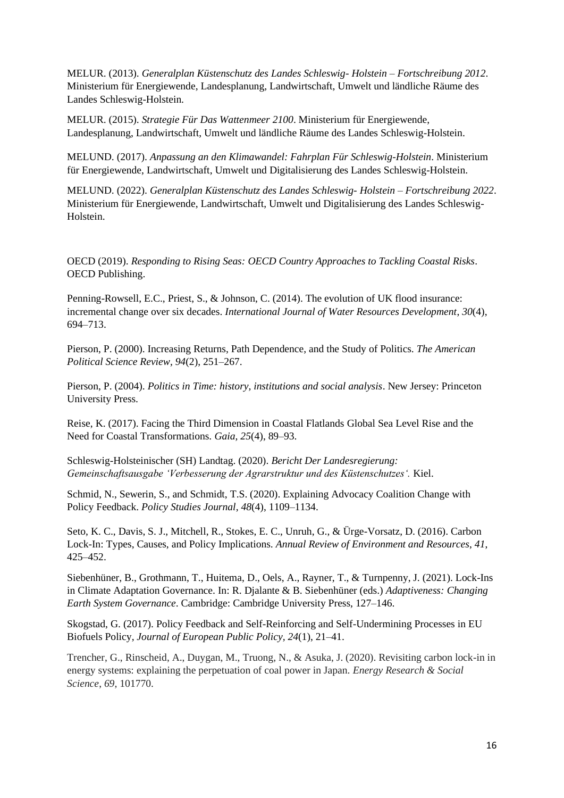MELUR. (2013). *Generalplan Küstenschutz des Landes Schleswig- Holstein – Fortschreibung 2012*. Ministerium für Energiewende, Landesplanung, Landwirtschaft, Umwelt und ländliche Räume des Landes Schleswig-Holstein.

MELUR. (2015). *Strategie Für Das Wattenmeer 2100*. Ministerium für Energiewende, Landesplanung, Landwirtschaft, Umwelt und ländliche Räume des Landes Schleswig-Holstein.

MELUND. (2017). *Anpassung an den Klimawandel: Fahrplan Für Schleswig-Holstein*. Ministerium für Energiewende, Landwirtschaft, Umwelt und Digitalisierung des Landes Schleswig-Holstein.

MELUND. (2022). *Generalplan Küstenschutz des Landes Schleswig- Holstein – Fortschreibung 2022*. Ministerium für Energiewende, Landwirtschaft, Umwelt und Digitalisierung des Landes Schleswig-Holstein.

OECD (2019). *Responding to Rising Seas: OECD Country Approaches to Tackling Coastal Risks*. OECD Publishing.

Penning-Rowsell, E.C., Priest, S., & Johnson, C. (2014). The evolution of UK flood insurance: incremental change over six decades. *International Journal of Water Resources Development*, *30*(4), 694–713.

Pierson, P. (2000). Increasing Returns, Path Dependence, and the Study of Politics. *The American Political Science Review, 94*(2), 251–267.

Pierson, P. (2004). *Politics in Time: history, institutions and social analysis*. New Jersey: Princeton University Press.

Reise, K. (2017). Facing the Third Dimension in Coastal Flatlands Global Sea Level Rise and the Need for Coastal Transformations. *Gaia, 25*(4), 89–93.

Schleswig-Holsteinischer (SH) Landtag. (2020). *Bericht Der Landesregierung: Gemeinschaftsausgabe 'Verbesserung der Agrarstruktur und des Küstenschutzes'.* Kiel.

Schmid, N., Sewerin, S., and Schmidt, T.S. (2020). Explaining Advocacy Coalition Change with Policy Feedback. *Policy Studies Journal*, *48*(4), 1109–1134.

Seto, K. C., Davis, S. J., Mitchell, R., Stokes, E. C., Unruh, G., & Ürge-Vorsatz, D. (2016). Carbon Lock-In: Types, Causes, and Policy Implications. *Annual Review of Environment and Resources*, *41*, 425–452.

Siebenhüner, B., Grothmann, T., Huitema, D., Oels, A., Rayner, T., & Turnpenny, J. (2021). Lock-Ins in Climate Adaptation Governance. In: R. Djalante & B. Siebenhüner (eds.) *Adaptiveness: Changing Earth System Governance*. Cambridge: Cambridge University Press, 127–146.

Skogstad, G. (2017). Policy Feedback and Self-Reinforcing and Self-Undermining Processes in EU Biofuels Policy, *Journal of European Public Policy, 24*(1), 21–41.

Trencher, G., Rinscheid, A., Duygan, M., Truong, N., & Asuka, J. (2020). Revisiting carbon lock-in in energy systems: explaining the perpetuation of coal power in Japan. *Energy Research & Social Science*, *69*, 101770.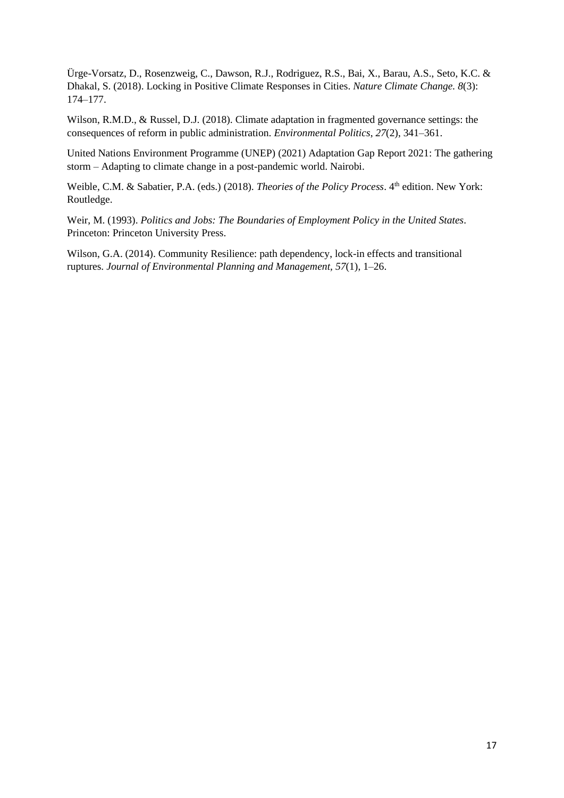Ürge-Vorsatz, D., Rosenzweig, C., Dawson, R.J., Rodriguez, R.S., Bai, X., Barau, A.S., Seto, K.C. & Dhakal, S. (2018). Locking in Positive Climate Responses in Cities. *Nature Climate Change. 8*(3): 174–177.

Wilson, R.M.D., & Russel, D.J. (2018). Climate adaptation in fragmented governance settings: the consequences of reform in public administration. *Environmental Politics*, *27*(2), 341–361.

United Nations Environment Programme (UNEP) (2021) Adaptation Gap Report 2021: The gathering storm – Adapting to climate change in a post-pandemic world. Nairobi.

Weible, C.M. & Sabatier, P.A. (eds.) (2018). *Theories of the Policy Process*. 4<sup>th</sup> edition. New York: Routledge.

Weir, M. (1993). *Politics and Jobs: The Boundaries of Employment Policy in the United States*. Princeton: Princeton University Press.

Wilson, G.A. (2014). Community Resilience: path dependency, lock-in effects and transitional ruptures. *Journal of Environmental Planning and Management, 57*(1), 1–26.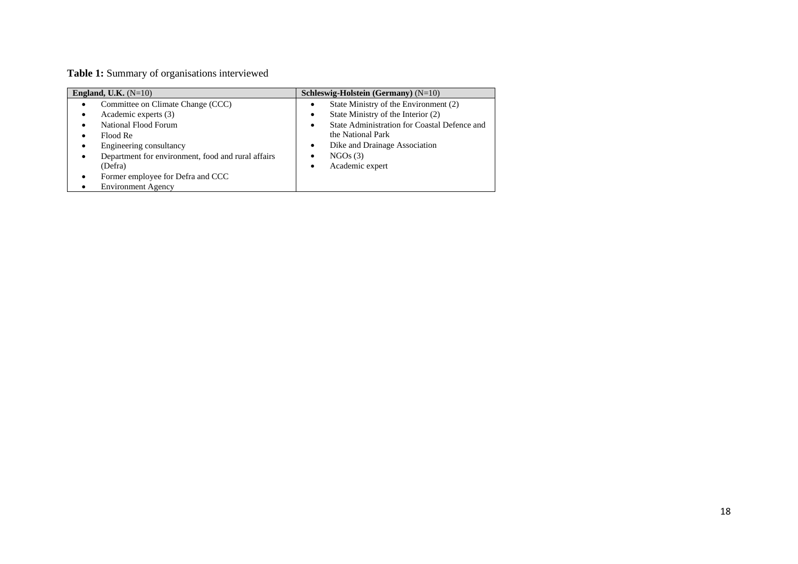# **Table 1:** Summary of organisations interviewed

| England, U.K. $(N=10)$                                  | Schleswig-Holstein (Germany) $(N=10)$                     |  |
|---------------------------------------------------------|-----------------------------------------------------------|--|
| Committee on Climate Change (CCC)                       | State Ministry of the Environment (2)                     |  |
| Academic experts (3)<br>٠                               | State Ministry of the Interior (2)                        |  |
| National Flood Forum                                    | State Administration for Coastal Defence and<br>$\bullet$ |  |
| Flood Re                                                | the National Park                                         |  |
| Engineering consultancy<br>٠                            | Dike and Drainage Association                             |  |
| Department for environment, food and rural affairs<br>٠ | NGOs(3)                                                   |  |
| (Defra)                                                 | Academic expert<br>٠                                      |  |
| Former employee for Defra and CCC<br>٠                  |                                                           |  |
| <b>Environment Agency</b>                               |                                                           |  |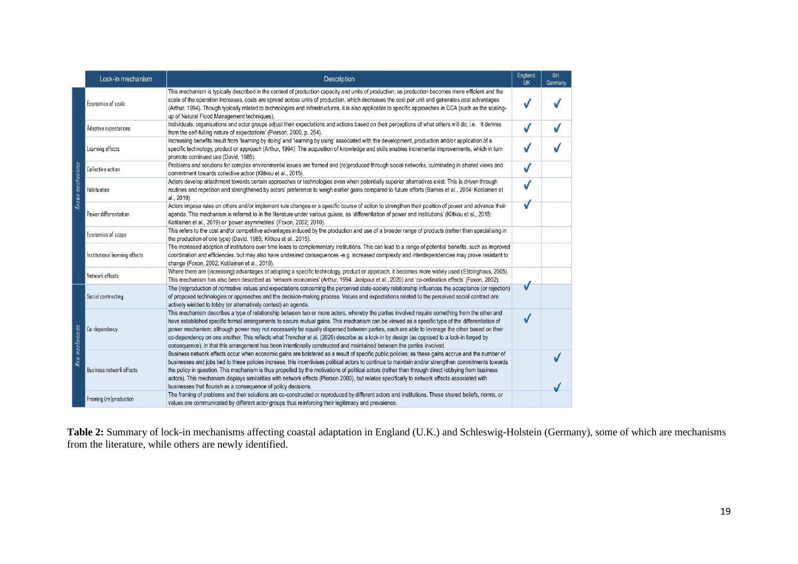|                  | Lock-in mechanism               | Description                                                                                                                                                                                                                                                                                                                                                                                                                                                                                                                                                                                                                                                                                                              | England,<br><b>UK</b> | SH.<br>Germany |
|------------------|---------------------------------|--------------------------------------------------------------------------------------------------------------------------------------------------------------------------------------------------------------------------------------------------------------------------------------------------------------------------------------------------------------------------------------------------------------------------------------------------------------------------------------------------------------------------------------------------------------------------------------------------------------------------------------------------------------------------------------------------------------------------|-----------------------|----------------|
| Known mechanisms | Economies of scale              | This mechanism is typically described in the context of production capacity and units of production; as production becomes more efficient and the<br>scale of the operation increases, costs are spread across units of production, which decreases the cost per unit and generates cost advantages<br>(Arthur, 1994). Though typically related to technologies and infrastructures, it is also applicable to specific approaches in CCA (such as the scaling-<br>up of Natural Flood Management techniques).                                                                                                                                                                                                            |                       |                |
|                  | Adaptive expectations           | Individuals, organisations and actor groups adjust their expectations and actions based on their perceptions of what others will do; i.e. 'it derives<br>from the self-fulling nature of expectations' (Pierson, 2000, p. 254).                                                                                                                                                                                                                                                                                                                                                                                                                                                                                          |                       |                |
|                  | Learning effects                | Increasing benefits result from 'learning by doing' and 'learning by using' associated with the development, production and/or application of a<br>specific technology, product or approach (Arthur, 1994). The acquisition of knowledge and skills enables incremental improvements, which in turn<br>promote continued use (David, 1985).                                                                                                                                                                                                                                                                                                                                                                              |                       |                |
|                  | <b>Collective action</b>        | Problems and solutions for complex environmental issues are framed and (re)produced through social networks, culminating in shared views and<br>commitment towards collective action (Klitkou et al., 2015).                                                                                                                                                                                                                                                                                                                                                                                                                                                                                                             |                       |                |
|                  | Habituation                     | Actors develop attachment towards certain approaches or technologies even when potentially superior alternatives exist. This is driven through<br>routines and repetition and strengthened by actors' preference to weigh earlier gains compared to future efforts (Barnes et al., 2004; Kotilainen et<br>al., 2019).                                                                                                                                                                                                                                                                                                                                                                                                    |                       |                |
|                  | Power differentiation           | Actors impose rules on others and/or implement rule changes or a specific course of action to strengthen their position of power and advance their<br>agenda. This mechanism is referred to in the literature under various guises, as 'differentiation of power and institutions' (Klitkou et al., 2015;<br>Kotilainen et al., 2019) or 'power asymmetries' (Foxon, 2002; 2010).                                                                                                                                                                                                                                                                                                                                        |                       |                |
|                  | Economies of scope              | This refers to the cost and/or competitive advantages induced by the production and use of a broader range of products (rather than specialising in<br>the production of one type) (David, 1985; Klitkou et al., 2015).                                                                                                                                                                                                                                                                                                                                                                                                                                                                                                  |                       |                |
|                  | Institutional learning effects  | The increased adoption of institutions over time leads to complementary institutions. This can lead to a range of potential benefits, such as improved<br>coordination and efficiencies, but may also have undesired consequences -e.g. increased complexity and interdependencies may prove resistant to<br>change (Foxon, 2002; Kotilainen et al., 2019).                                                                                                                                                                                                                                                                                                                                                              |                       |                |
|                  | Network effects                 | Where there are (increasing) advantages of adopting a specific technology, product or approach, it becomes more widely used (Ebbinghaus, 2005).<br>This mechanism has also been described as 'network economies' (Arthur, 1994: Janipour et al., 2020) and 'co-ordination effects' (Foxon, 2002).                                                                                                                                                                                                                                                                                                                                                                                                                        |                       |                |
| New mechanisms   | Social contracting              | The (re)production of normative values and expectations concerning the perceived state-society relationship influences the acceptance (or rejection)<br>of proposed technologies or approaches and the decision-making process. Values and expectations related to the perceived social contract are<br>actively wielded to lobby (or alternatively contest) an agenda.                                                                                                                                                                                                                                                                                                                                                  |                       |                |
|                  | Co-dependency                   | This mechanism describes a type of relationship between two or more actors, whereby the parties involved require something from the other and<br>have established specific formal arrangements to secure mutual gains. This mechanism can be viewed as a specific type of the differentiation of<br>power mechanism; although power may not necessarily be equally dispersed between parties, each are able to leverage the other based on their<br>co-dependency on one another. This reflects what Trencher et al. (2020) describe as a lock-in by design (as opposed to a lock-in forged by<br>consequence), in that this arrangement has been intentionally constructed and maintained between the parties involved. |                       |                |
|                  | <b>Business network effects</b> | Business network effects occur when economic gains are bolstered as a result of specific public policies; as these gains accrue and the number of<br>businesses and jobs tied to these policies increase, this incentivises political actors to continue to maintain and/or strengthen commitments towards<br>the policy in question. This mechanism is thus propelled by the motivations of political actors (rather than through direct lobbying from business<br>actors). This mechanism displays similarities with network effects (Pierson 2000), but relates specifically to network effects associated with<br>businesses that flourish as a consequence of policy decisions.                                     |                       |                |
|                  | Framing (re)production          | The framing of problems and their solutions are co-constructed or reproduced by different actors and institutions. These shared beliefs, norms, or<br>values are communicated by different actor groups thus reinforcing their legitimacy and prevalence.                                                                                                                                                                                                                                                                                                                                                                                                                                                                |                       |                |

**Table 2:** Summary of lock-in mechanisms affecting coastal adaptation in England (U.K.) and Schleswig-Holstein (Germany), some of which are mechanisms from the literature, while others are newly identified.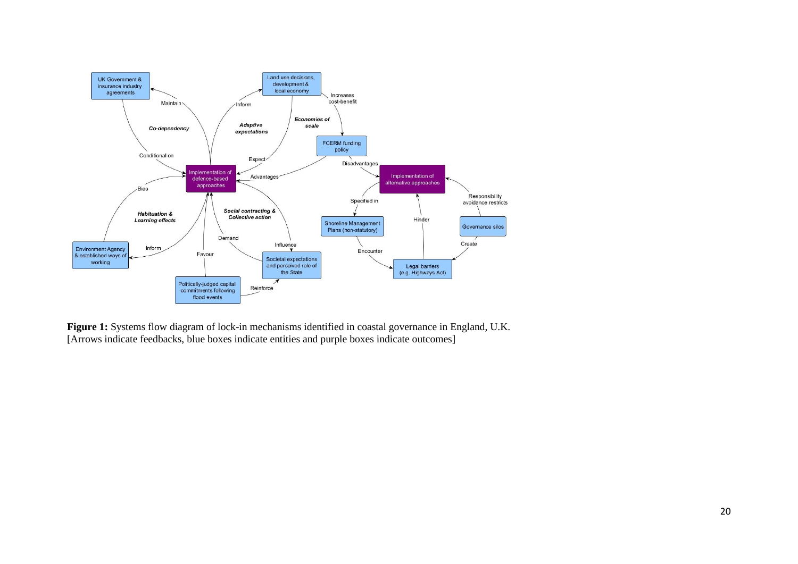

**Figure 1:** Systems flow diagram of lock-in mechanisms identified in coastal governance in England, U.K. [Arrows indicate feedbacks, blue boxes indicate entities and purple boxes indicate outcomes]